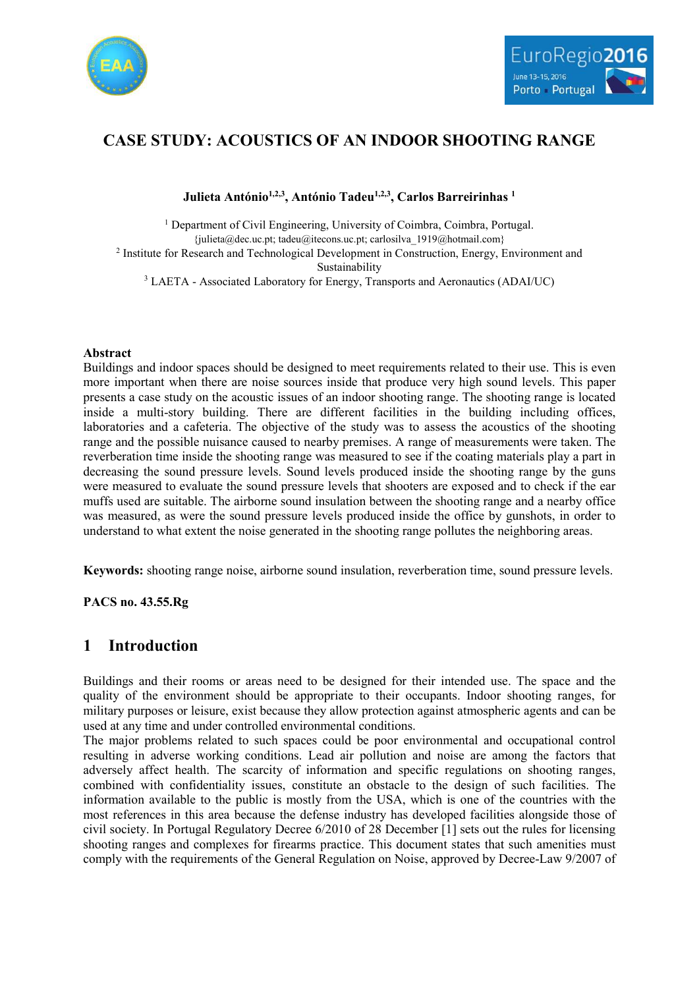



# **CASE STUDY: ACOUSTICS OF AN INDOOR SHOOTING RANGE**

### **Julieta António1,2,3, António Tadeu1,2,3, Carlos Barreirinhas <sup>1</sup>**

<sup>1</sup> Department of Civil Engineering, University of Coimbra, Coimbra, Portugal.  ${j$ ulieta@dec.uc.pt; tadeu@itecons.uc.pt; carlosilva 1919@hotmail.com} <sup>2</sup> Institute for Research and Technological Development in Construction, Energy, Environment and Sustainability <sup>3</sup> LAETA - Associated Laboratory for Energy, Transports and Aeronautics (ADAI/UC)

#### **Abstract**

Buildings and indoor spaces should be designed to meet requirements related to their use. This is even more important when there are noise sources inside that produce very high sound levels. This paper presents a case study on the acoustic issues of an indoor shooting range. The shooting range is located inside a multi-story building. There are different facilities in the building including offices, laboratories and a cafeteria. The objective of the study was to assess the acoustics of the shooting range and the possible nuisance caused to nearby premises. A range of measurements were taken. The reverberation time inside the shooting range was measured to see if the coating materials play a part in decreasing the sound pressure levels. Sound levels produced inside the shooting range by the guns were measured to evaluate the sound pressure levels that shooters are exposed and to check if the ear muffs used are suitable. The airborne sound insulation between the shooting range and a nearby office was measured, as were the sound pressure levels produced inside the office by gunshots, in order to understand to what extent the noise generated in the shooting range pollutes the neighboring areas.

**Keywords:** shooting range noise, airborne sound insulation, reverberation time, sound pressure levels.

**PACS no. 43.55.Rg**

# **1 Introduction**

Buildings and their rooms or areas need to be designed for their intended use. The space and the quality of the environment should be appropriate to their occupants. Indoor shooting ranges, for military purposes or leisure, exist because they allow protection against atmospheric agents and can be used at any time and under controlled environmental conditions.

The major problems related to such spaces could be poor environmental and occupational control resulting in adverse working conditions. Lead air pollution and noise are among the factors that adversely affect health. The scarcity of information and specific regulations on shooting ranges, combined with confidentiality issues, constitute an obstacle to the design of such facilities. The information available to the public is mostly from the USA, which is one of the countries with the most references in this area because the defense industry has developed facilities alongside those of civil society. In Portugal Regulatory Decree 6/2010 of 28 December [1] sets out the rules for licensing shooting ranges and complexes for firearms practice. This document states that such amenities must comply with the requirements of the General Regulation on Noise, approved by Decree-Law 9/2007 of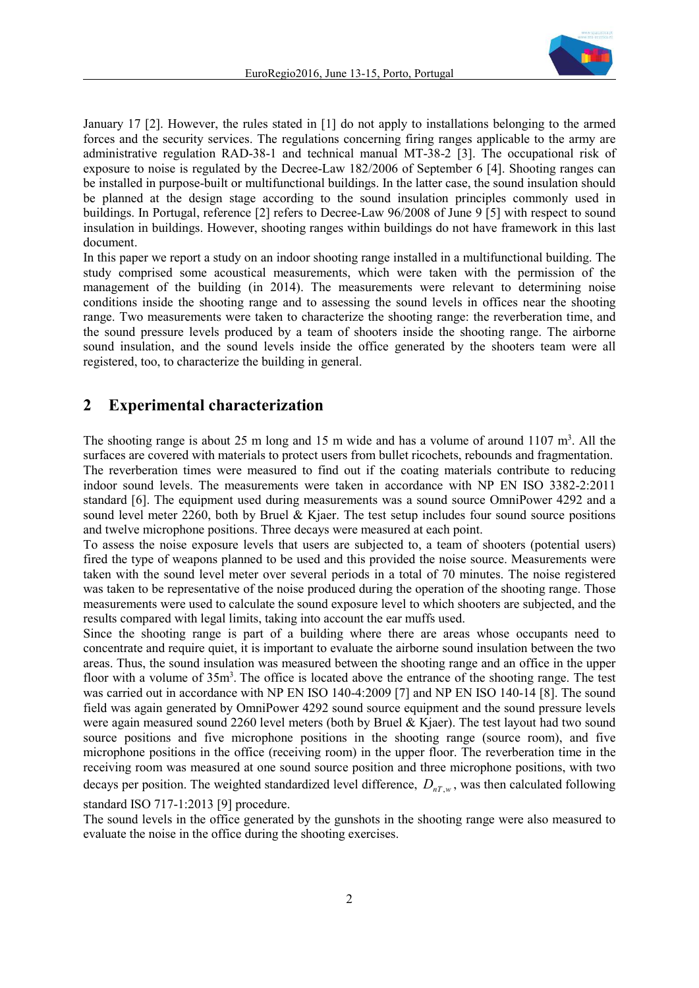

January 17 [2]. However, the rules stated in [1] do not apply to installations belonging to the armed forces and the security services. The regulations concerning firing ranges applicable to the army are administrative regulation RAD-38-1 and technical manual MT-38-2 [3]. The occupational risk of exposure to noise is regulated by the Decree-Law 182/2006 of September 6 [4]. Shooting ranges can be installed in purpose-built or multifunctional buildings. In the latter case, the sound insulation should be planned at the design stage according to the sound insulation principles commonly used in buildings. In Portugal, reference [2] refers to Decree-Law 96/2008 of June 9 [5] with respect to sound insulation in buildings. However, shooting ranges within buildings do not have framework in this last document.

In this paper we report a study on an indoor shooting range installed in a multifunctional building. The study comprised some acoustical measurements, which were taken with the permission of the management of the building (in 2014). The measurements were relevant to determining noise conditions inside the shooting range and to assessing the sound levels in offices near the shooting range. Two measurements were taken to characterize the shooting range: the reverberation time, and the sound pressure levels produced by a team of shooters inside the shooting range. The airborne sound insulation, and the sound levels inside the office generated by the shooters team were all registered, too, to characterize the building in general.

## **2 Experimental characterization**

The shooting range is about 25 m long and 15 m wide and has a volume of around 1107  $m<sup>3</sup>$ . All the surfaces are covered with materials to protect users from bullet ricochets, rebounds and fragmentation. The reverberation times were measured to find out if the coating materials contribute to reducing indoor sound levels. The measurements were taken in accordance with NP EN ISO 3382-2:2011 standard [6]. The equipment used during measurements was a sound source OmniPower 4292 and a sound level meter 2260, both by Bruel & Kjaer. The test setup includes four sound source positions and twelve microphone positions. Three decays were measured at each point.

To assess the noise exposure levels that users are subjected to, a team of shooters (potential users) fired the type of weapons planned to be used and this provided the noise source. Measurements were taken with the sound level meter over several periods in a total of 70 minutes. The noise registered was taken to be representative of the noise produced during the operation of the shooting range. Those measurements were used to calculate the sound exposure level to which shooters are subjected, and the results compared with legal limits, taking into account the ear muffs used.

Since the shooting range is part of a building where there are areas whose occupants need to concentrate and require quiet, it is important to evaluate the airborne sound insulation between the two areas. Thus, the sound insulation was measured between the shooting range and an office in the upper floor with a volume of 35m<sup>3</sup>. The office is located above the entrance of the shooting range. The test was carried out in accordance with NP EN ISO 140-4:2009 [7] and NP EN ISO 140-14 [8]. The sound field was again generated by OmniPower 4292 sound source equipment and the sound pressure levels were again measured sound 2260 level meters (both by Bruel & Kjaer). The test layout had two sound source positions and five microphone positions in the shooting range (source room), and five microphone positions in the office (receiving room) in the upper floor. The reverberation time in the receiving room was measured at one sound source position and three microphone positions, with two decays per position. The weighted standardized level difference,  $D_{nT,w}$ , was then calculated following

standard ISO 717-1:2013 [9] procedure.

The sound levels in the office generated by the gunshots in the shooting range were also measured to evaluate the noise in the office during the shooting exercises.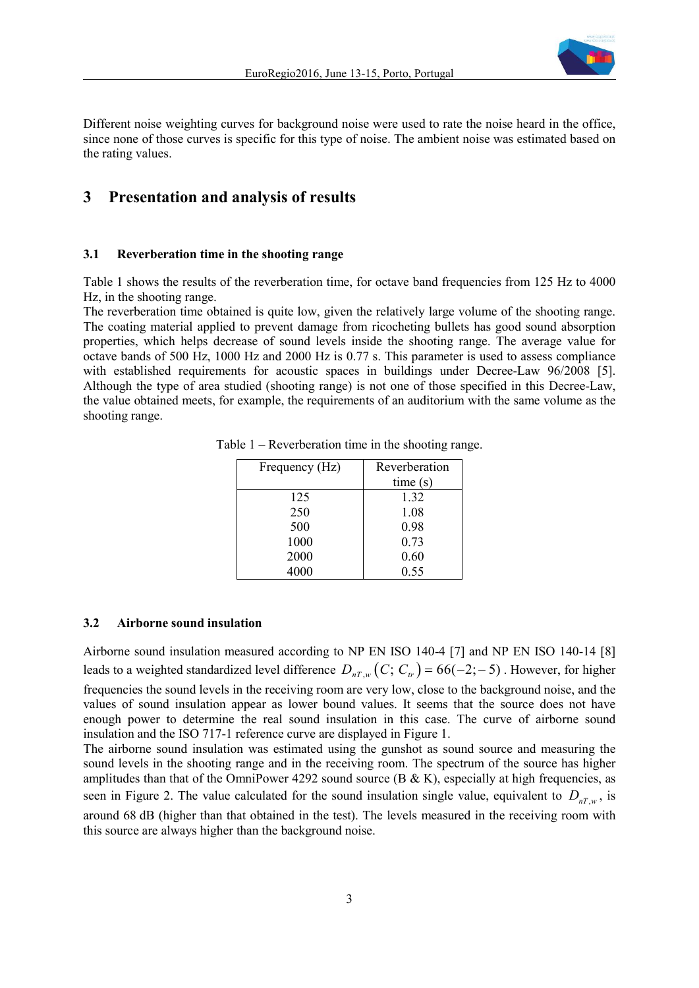

Different noise weighting curves for background noise were used to rate the noise heard in the office, since none of those curves is specific for this type of noise. The ambient noise was estimated based on the rating values.

### **3 Presentation and analysis of results**

#### **3.1 Reverberation time in the shooting range**

Table 1 shows the results of the reverberation time, for octave band frequencies from 125 Hz to 4000 Hz, in the shooting range.

The reverberation time obtained is quite low, given the relatively large volume of the shooting range. The coating material applied to prevent damage from ricocheting bullets has good sound absorption properties, which helps decrease of sound levels inside the shooting range. The average value for octave bands of 500 Hz, 1000 Hz and 2000 Hz is 0.77 s. This parameter is used to assess compliance with established requirements for acoustic spaces in buildings under Decree-Law 96/2008 [5]. Although the type of area studied (shooting range) is not one of those specified in this Decree-Law, the value obtained meets, for example, the requirements of an auditorium with the same volume as the shooting range.

| Frequency (Hz) | Reverberation |
|----------------|---------------|
|                | time(s)       |
| 125            | 1.32          |
| 250            | 1.08          |
| 500            | 0.98          |
| 1000           | 0.73          |
| 2000           | 0.60          |
| 4000           | 0.55          |

Table 1 – Reverberation time in the shooting range.

#### **3.2 Airborne sound insulation**

Airborne sound insulation measured according to NP EN ISO 140-4 [7] and NP EN ISO 140-14 [8] leads to a weighted standardized level difference  $D_{nT,w}(C; C_{ir}) = 66(-2; -5)$ . However, for higher

frequencies the sound levels in the receiving room are very low, close to the background noise, and the values of sound insulation appear as lower bound values. It seems that the source does not have enough power to determine the real sound insulation in this case. The curve of airborne sound insulation and the ISO 717-1 reference curve are displayed in Figure 1.

The airborne sound insulation was estimated using the gunshot as sound source and measuring the sound levels in the shooting range and in the receiving room. The spectrum of the source has higher amplitudes than that of the OmniPower 4292 sound source  $(B & K)$ , especially at high frequencies, as seen in Figure 2. The value calculated for the sound insulation single value, equivalent to  $D_{nT,w}$ , is around 68 dB (higher than that obtained in the test). The levels measured in the receiving room with this source are always higher than the background noise.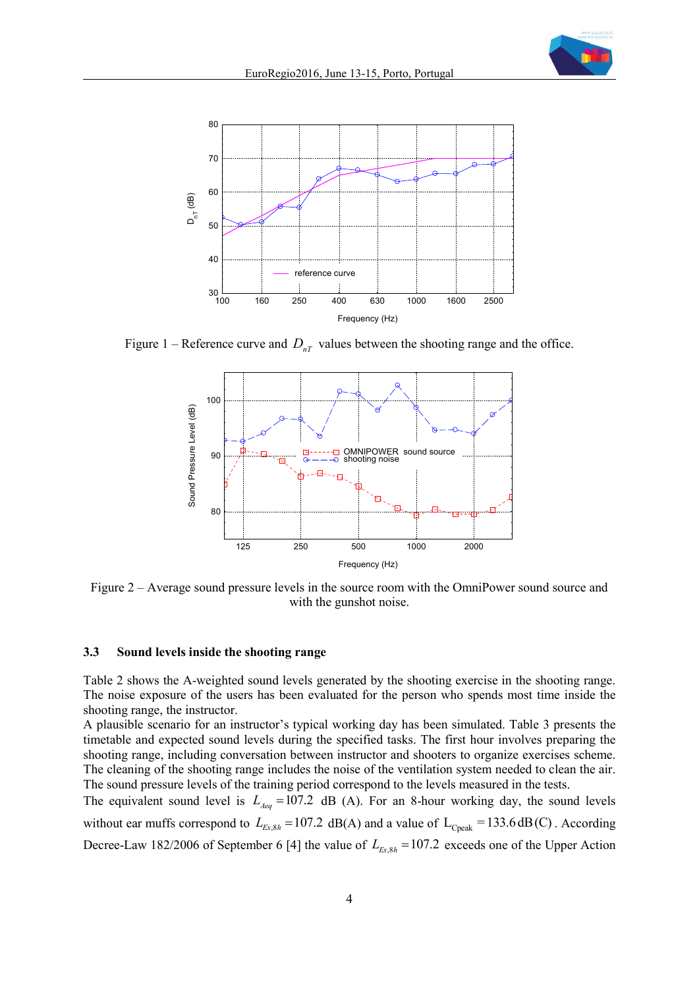



Figure 1 – Reference curve and  $D_{nT}$  values between the shooting range and the office.



Figure 2 – Average sound pressure levels in the source room with the OmniPower sound source and with the gunshot noise.

#### **3.3 Sound levels inside the shooting range**

Table 2 shows the A-weighted sound levels generated by the shooting exercise in the shooting range. The noise exposure of the users has been evaluated for the person who spends most time inside the shooting range, the instructor.

A plausible scenario for an instructor's typical working day has been simulated. Table 3 presents the timetable and expected sound levels during the specified tasks. The first hour involves preparing the shooting range, including conversation between instructor and shooters to organize exercises scheme. The cleaning of the shooting range includes the noise of the ventilation system needed to clean the air. The sound pressure levels of the training period correspond to the levels measured in the tests.

The equivalent sound level is  $L_{Aeg} = 107.2$  dB (A). For an 8-hour working day, the sound levels without ear muffs correspond to  $L_{Ex,8h} = 107.2$  dB(A) and a value of  $L_{\text{Cpeak}} = 133.6 \text{ dB}$ (C). According Decree-Law 182/2006 of September 6 [4] the value of  $L_{Ex 8h} = 107.2$  exceeds one of the Upper Action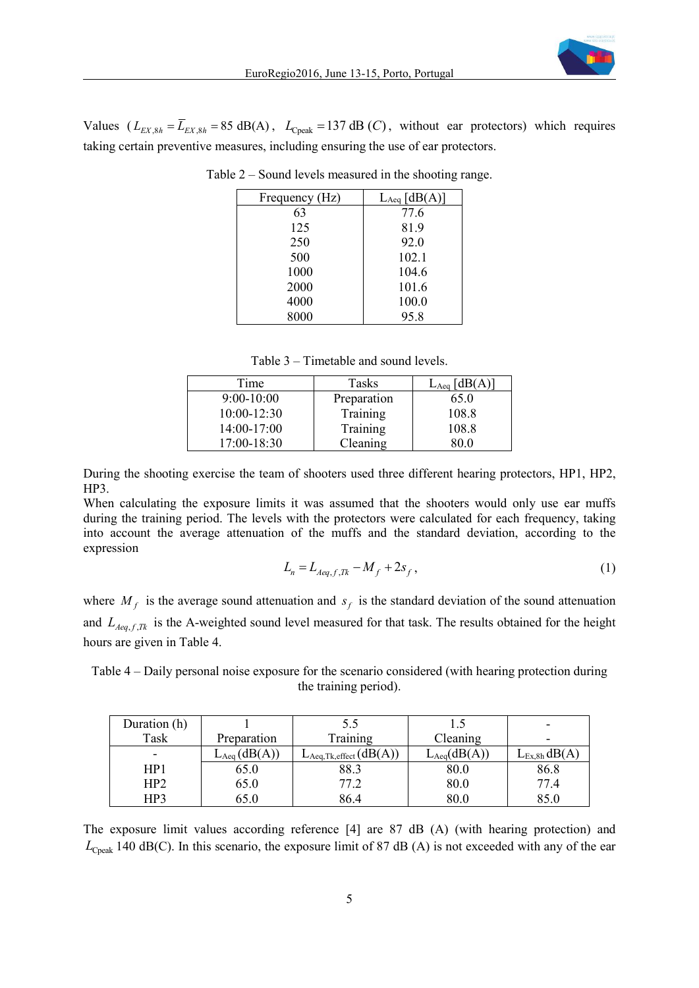

Values  $(L_{EX 8h} = \overline{L}_{EX 8h} = 85 \text{ dB(A)}$ ,  $L_{Cpeak} = 137 \text{ dB}(C)$ , without ear protectors) which requires taking certain preventive measures, including ensuring the use of ear protectors.

| Frequency (Hz) | $L_{Aeq}$ [dB(A)] |
|----------------|-------------------|
| 63             | 77.6              |
| 125            | 81.9              |
| 250            | 92.0              |
| 500            | 102.1             |
| 1000           | 104.6             |
| 2000           | 101.6             |
| 4000           | 100.0             |
| 8000           | 95.8              |

Table 2 – Sound levels measured in the shooting range.

Table 3 – Timetable and sound levels.

| Time            | Tasks       | $L_{Aeq}$ [dB(A)] |
|-----------------|-------------|-------------------|
| $9:00-10:00$    | Preparation | 65.0              |
| $10:00 - 12:30$ | Training    | 108.8             |
| $14:00-17:00$   | Training    | 108.8             |
| $17:00 - 18:30$ | Cleaning    | 80.0              |

During the shooting exercise the team of shooters used three different hearing protectors, HP1, HP2, HP3.

When calculating the exposure limits it was assumed that the shooters would only use ear muffs during the training period. The levels with the protectors were calculated for each frequency, taking into account the average attenuation of the muffs and the standard deviation, according to the expression

$$
L_n = L_{Aeq, f, Tk} - M_f + 2s_f,
$$
\n(1)

where  $M_f$  is the average sound attenuation and  $s_f$  is the standard deviation of the sound attenuation and  $L_{Aeq,f,R}$  is the A-weighted sound level measured for that task. The results obtained for the height hours are given in Table 4.

Table 4 – Daily personal noise exposure for the scenario considered (with hearing protection during the training period).

| Duration (h)    |                  | 5.5                                      |                 |                   |
|-----------------|------------------|------------------------------------------|-----------------|-------------------|
| Task            | Preparation      | Training                                 | Cleaning        | -                 |
| -               | $L_{Aeq}(dB(A))$ | $L_{\text{Aeq},\text{Tk,effect}}(dB(A))$ | $L_{Aeq}(dB(A)$ | $L_{Ex,8h}$ dB(A, |
| HP1             | 65.0             | 88.3                                     | 80.0            | 86.8              |
| HP <sub>2</sub> | 65.0             | 77.2                                     | 80.0            | 77.4              |
| HP3             | 65.0             | 86.4                                     | 80.0            | 85.0              |

The exposure limit values according reference [4] are 87 dB (A) (with hearing protection) and  $L_{\text{Cpeak}}$  140 dB(C). In this scenario, the exposure limit of 87 dB (A) is not exceeded with any of the ear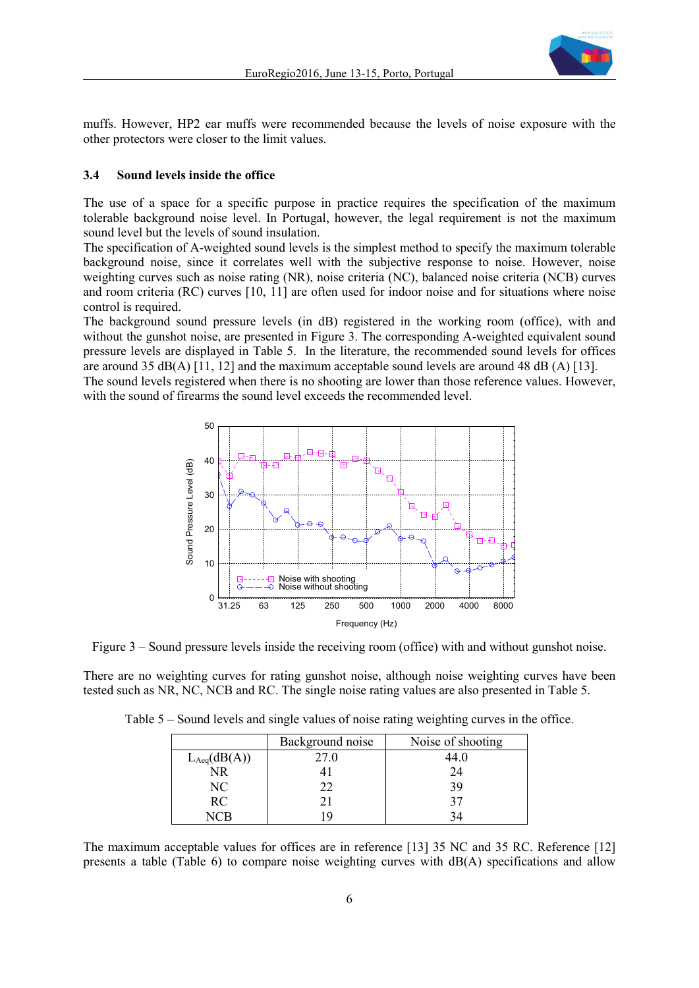

muffs. However, HP2 ear muffs were recommended because the levels of noise exposure with the other protectors were closer to the limit values.

#### **3.4 Sound levels inside the office**

The use of a space for a specific purpose in practice requires the specification of the maximum tolerable background noise level. In Portugal, however, the legal requirement is not the maximum sound level but the levels of sound insulation.

The specification of A-weighted sound levels is the simplest method to specify the maximum tolerable background noise, since it correlates well with the subjective response to noise. However, noise weighting curves such as noise rating (NR), noise criteria (NC), balanced noise criteria (NCB) curves and room criteria (RC) curves [10, 11] are often used for indoor noise and for situations where noise control is required.

The background sound pressure levels (in dB) registered in the working room (office), with and without the gunshot noise, are presented in Figure 3. The corresponding A-weighted equivalent sound pressure levels are displayed in Table 5. In the literature, the recommended sound levels for offices are around 35 dB(A) [11, 12] and the maximum acceptable sound levels are around 48 dB (A) [13].

The sound levels registered when there is no shooting are lower than those reference values. However, with the sound of firearms the sound level exceeds the recommended level.



Figure 3 – Sound pressure levels inside the receiving room (office) with and without gunshot noise.

There are no weighting curves for rating gunshot noise, although noise weighting curves have been tested such as NR, NC, NCB and RC. The single noise rating values are also presented in Table 5.

|                  | Background noise | Noise of shooting |
|------------------|------------------|-------------------|
| $L_{Aeq}(dB(A))$ | 27.0             | 44.0              |
| NR               |                  | 24                |
| NC               | フフ               | 39                |
| <b>RC</b>        |                  | 37                |
| √l ( `H          |                  |                   |

Table 5 – Sound levels and single values of noise rating weighting curves in the office.

The maximum acceptable values for offices are in reference [13] 35 NC and 35 RC. Reference [12] presents a table (Table 6) to compare noise weighting curves with dB(A) specifications and allow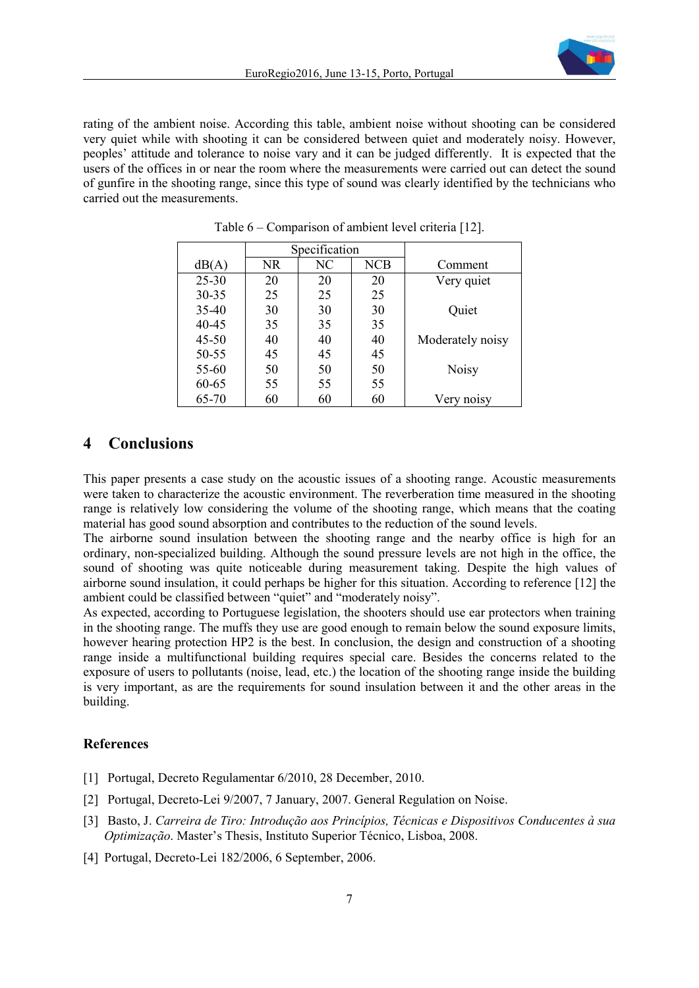

rating of the ambient noise. According this table, ambient noise without shooting can be considered very quiet while with shooting it can be considered between quiet and moderately noisy. However, peoples' attitude and tolerance to noise vary and it can be judged differently. It is expected that the users of the offices in or near the room where the measurements were carried out can detect the sound of gunfire in the shooting range, since this type of sound was clearly identified by the technicians who carried out the measurements.

|           | Specification |    |            |                  |
|-----------|---------------|----|------------|------------------|
| dB(A)     | NR            | NC | <b>NCB</b> | Comment          |
| $25 - 30$ | 20            | 20 | 20         | Very quiet       |
| $30 - 35$ | 25            | 25 | 25         |                  |
| $35-40$   | 30            | 30 | 30         | Quiet            |
| 40-45     | 35            | 35 | 35         |                  |
| $45 - 50$ | 40            | 40 | 40         | Moderately noisy |
| 50-55     | 45            | 45 | 45         |                  |
| 55-60     | 50            | 50 | 50         | <b>Noisy</b>     |
| 60-65     | 55            | 55 | 55         |                  |
| 65-70     | 60            | 60 | 60         | Very noisy       |

Table 6 – Comparison of ambient level criteria [12].

### **4 Conclusions**

This paper presents a case study on the acoustic issues of a shooting range. Acoustic measurements were taken to characterize the acoustic environment. The reverberation time measured in the shooting range is relatively low considering the volume of the shooting range, which means that the coating material has good sound absorption and contributes to the reduction of the sound levels.

The airborne sound insulation between the shooting range and the nearby office is high for an ordinary, non-specialized building. Although the sound pressure levels are not high in the office, the sound of shooting was quite noticeable during measurement taking. Despite the high values of airborne sound insulation, it could perhaps be higher for this situation. According to reference [12] the ambient could be classified between "quiet" and "moderately noisy".

As expected, according to Portuguese legislation, the shooters should use ear protectors when training in the shooting range. The muffs they use are good enough to remain below the sound exposure limits, however hearing protection HP2 is the best. In conclusion, the design and construction of a shooting range inside a multifunctional building requires special care. Besides the concerns related to the exposure of users to pollutants (noise, lead, etc.) the location of the shooting range inside the building is very important, as are the requirements for sound insulation between it and the other areas in the building.

#### **References**

- [1] Portugal, Decreto Regulamentar 6/2010, 28 December, 2010.
- [2] Portugal, Decreto-Lei 9/2007, 7 January, 2007. General Regulation on Noise.
- [3] Basto, J. *Carreira de Tiro: Introdução aos Princípios, Técnicas e Dispositivos Conducentes à sua Optimização*. Master's Thesis, Instituto Superior Técnico, Lisboa, 2008.
- [4] Portugal, Decreto-Lei 182/2006, 6 September, 2006.